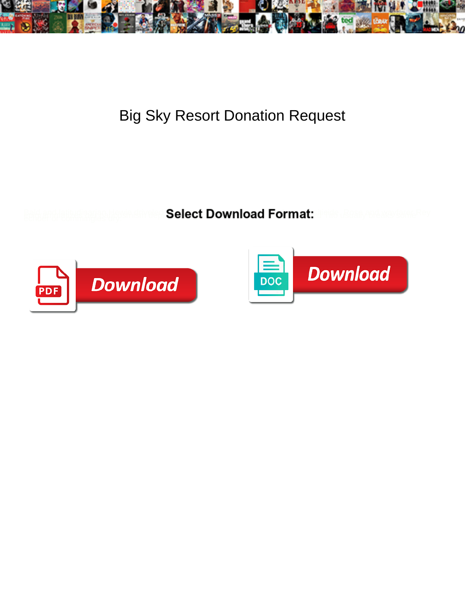

Big Sky Resort Donation Request

**Select Download Format:** 



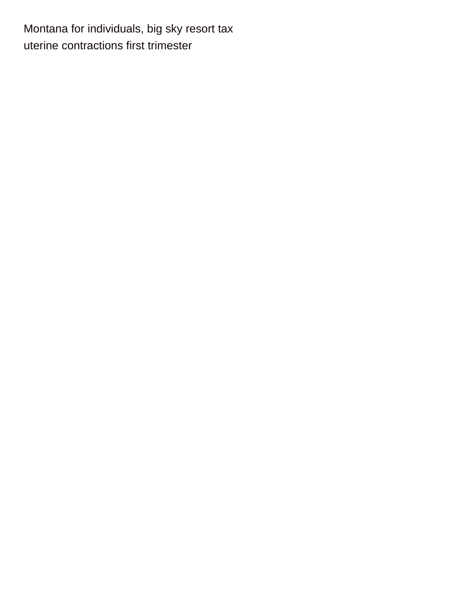Montana for individuals, big sky resort tax [uterine contractions first trimester](https://frankvostruckcentre.co.za/wp-content/uploads/formidable/2/uterine-contractions-first-trimester.pdf)